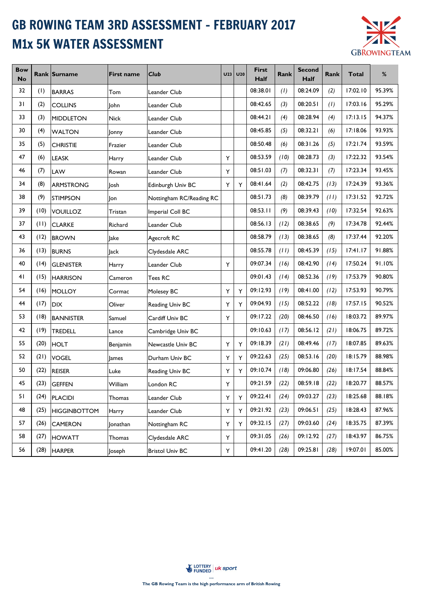## GB ROWING TEAM 3RD ASSESSMENT - FEBRUARY 2017 M1x 5K WATER ASSESSMENT



| <b>Bow</b><br><b>No</b> |      | <b>Rank Surname</b> | <b>First name</b> | <b>Club</b>              |   | $U23$ $U20$ | <b>First</b><br>Half | Rank | <b>Second</b><br><b>Half</b> | <b>Rank</b> | <b>Total</b> | %      |
|-------------------------|------|---------------------|-------------------|--------------------------|---|-------------|----------------------|------|------------------------------|-------------|--------------|--------|
| 32                      | (1)  | <b>BARRAS</b>       | Tom               | Leander Club             |   |             | 08:38.01             | (I)  | 08:24.09                     | (2)         | 17:02.10     | 95.39% |
| 31                      | (2)  | <b>COLLINS</b>      | <b>John</b>       | Leander Club             |   |             | 08:42.65             | (3)  | 08:20.51                     | (1)         | 17:03.16     | 95.29% |
| 33                      | (3)  | <b>MIDDLETON</b>    | <b>Nick</b>       | Leander Club             |   |             | 08:44.21             | (4)  | 08:28.94                     | (4)         | 17:13.15     | 94.37% |
| 30                      | (4)  | <b>WALTON</b>       | Jonny             | Leander Club             |   |             | 08:45.85             | (5)  | 08:32.21                     | (6)         | 17:18.06     | 93.93% |
| 35                      | (5)  | <b>CHRISTIE</b>     | Frazier           | Leander Club             |   |             | 08:50.48             | (6)  | 08:31.26                     | (5)         | 17:21.74     | 93.59% |
| 47                      | (6)  | <b>LEASK</b>        | <b>Harry</b>      | Leander Club             | Y |             | 08:53.59             | (10) | 08:28.73                     | (3)         | 17:22.32     | 93.54% |
| 46                      | (7)  | <b>LAW</b>          | Rowan             | Leander Club             | Y |             | 08:51.03             | (7)  | 08:32.31                     | (7)         | 17:23.34     | 93.45% |
| 34                      | (8)  | <b>ARMSTRONG</b>    | <b>Josh</b>       | Edinburgh Univ BC        | Y | Y           | 08:41.64             | (2)  | 08:42.75                     | (13)        | 17:24.39     | 93.36% |
| 38                      | (9)  | <b>STIMPSON</b>     | on                | Nottingham RC/Reading RC |   |             | 08:51.73             | (8)  | 08:39.79                     | (11)        | 17:31.52     | 92.72% |
| 39                      | (10) | <b>VOUILLOZ</b>     | Tristan           | Imperial Coll BC         |   |             | 08:53.11             | (9)  | 08:39.43                     | (10)        | 17:32.54     | 92.63% |
| 37                      | (11) | <b>CLARKE</b>       | Richard           | Leander Club             |   |             | 08:56.13             | (12) | 08:38.65                     | (9)         | 17:34.78     | 92.44% |
| 43                      | (12) | <b>BROWN</b>        | <b>Jake</b>       | Agecroft RC              |   |             | 08:58.79             | (13) | 08:38.65                     | (8)         | 17:37.44     | 92.20% |
| 36                      | (13) | <b>BURNS</b>        | <b>Jack</b>       | <b>Clydesdale ARC</b>    |   |             | 08:55.78             | (11) | 08:45.39                     | (15)        | 17:41.17     | 91.88% |
| 40                      | (14) | <b>GLENISTER</b>    | <b>Harry</b>      | Leander Club             |   |             | 09:07.34             | (16) | 08:42.90                     | (14)        | 17:50.24     | 91.10% |
| 4 <sub>1</sub>          | (15) | <b>HARRISON</b>     | Cameron           | Tees RC                  |   |             | 09:01.43             | (14) | 08:52.36                     | (19)        | 17:53.79     | 90.80% |
| 54                      | (16) | <b>MOLLOY</b>       | Cormac            | Molesey BC               | Y | Y           | 09:12.93             | (19) | 08:41.00                     | (12)        | 17:53.93     | 90.79% |
| 44                      | (17) | <b>DIX</b>          | Oliver            | <b>Reading Univ BC</b>   | Y | Y           | 09:04.93             | (15) | 08:52.22                     | (18)        | 17:57.15     | 90.52% |
| 53                      | (18) | <b>BANNISTER</b>    | Samuel            | <b>Cardiff Univ BC</b>   | Y |             | 09:17.22             | (20) | 08:46.50                     | (16)        | 18:03.72     | 89.97% |
| 42                      | (19) | <b>TREDELL</b>      | Lance             | Cambridge Univ BC        |   |             | 09:10.63             | (17) | 08:56.12                     | (21)        | 18:06.75     | 89.72% |
| 55                      | (20) | <b>HOLT</b>         | Benjamin          | Newcastle Univ BC        | Y | Y           | 09:18.39             | (21) | 08:49.46                     | (17)        | 18:07.85     | 89.63% |
| 52                      | (21) | <b>VOGEL</b>        | <b>James</b>      | Durham Univ BC           | Y | Y           | 09:22.63             | (25) | 08:53.16                     | (20)        | 18:15.79     | 88.98% |
| 50                      | (22) | <b>REISER</b>       | Luke              | <b>Reading Univ BC</b>   | Y | Y           | 09:10.74             | (18) | 09:06.80                     | (26)        | 18:17.54     | 88.84% |
| 45                      | (23) | <b>GEFFEN</b>       | William           | London RC                | Y |             | 09:21.59             | (22) | 08:59.18                     | (22)        | 18:20.77     | 88.57% |
| 51                      | (24) | <b>PLACIDI</b>      | Thomas            | Leander Club             | Y | Y           | 09:22.41             | (24) | 09:03.27                     | (23)        | 18:25.68     | 88.18% |
| 48                      | (25) | <b>HIGGINBOTTOM</b> | <b>Harry</b>      | Leander Club             | Y | Y           | 09:21.92             | (23) | 09:06.51                     | (25)        | 18:28.43     | 87.96% |
| 57                      | (26) | <b>CAMERON</b>      | Jonathan          | Nottingham RC            | Y | Y           | 09:32.15             | (27) | 09:03.60                     | (24)        | 18:35.75     | 87.39% |
| 58                      | (27) | <b>HOWATT</b>       | <b>Thomas</b>     | <b>Clydesdale ARC</b>    | Y |             | 09:31.05             | (26) | 09:12.92                     | (27)        | 18:43.97     | 86.75% |
| 56                      | (28) | <b>HARPER</b>       | Joseph            | <b>Bristol Univ BC</b>   | Y |             | 09:41.20             | (28) | 09:25.81                     | (28)        | 19:07.01     | 85.00% |



**.... The GB Rowing Team is the high performance arm of British Rowing**